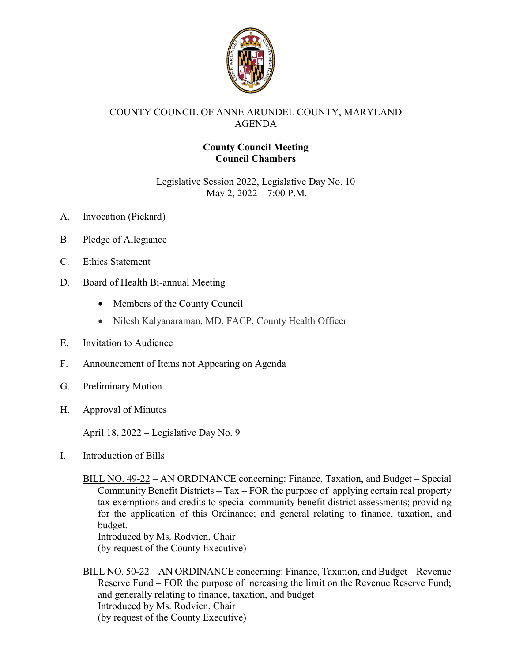

# COUNTY COUNCIL OF ANNE ARUNDEL COUNTY, MARYLAND AGENDA

# **County Council Meeting Council Chambers**

Legislative Session 2022, Legislative Day No. 10 May 2, 2022 – 7:00 P.M.

- A. Invocation (Pickard)
- B. Pledge of Allegiance
- C. Ethics Statement
- D. Board of Health Bi-annual Meeting
	- Members of the County Council
	- Nilesh Kalyanaraman, MD, FACP, County Health Officer
- E. Invitation to Audience
- F. Announcement of Items not Appearing on Agenda
- G. Preliminary Motion
- H. Approval of Minutes

April 18, 2022 – Legislative Day No. 9

I. Introduction of Bills

BILL NO. 49-22 – AN ORDINANCE concerning: Finance, Taxation, and Budget – Special Community Benefit Districts – Tax – FOR the purpose of applying certain real property tax exemptions and credits to special community benefit district assessments; providing for the application of this Ordinance; and general relating to finance, taxation, and budget.

Introduced by Ms. Rodvien, Chair (by request of the County Executive)

BILL NO. 50-22 – AN ORDINANCE concerning: Finance, Taxation, and Budget – Revenue Reserve Fund – FOR the purpose of increasing the limit on the Revenue Reserve Fund; and generally relating to finance, taxation, and budget Introduced by Ms. Rodvien, Chair (by request of the County Executive)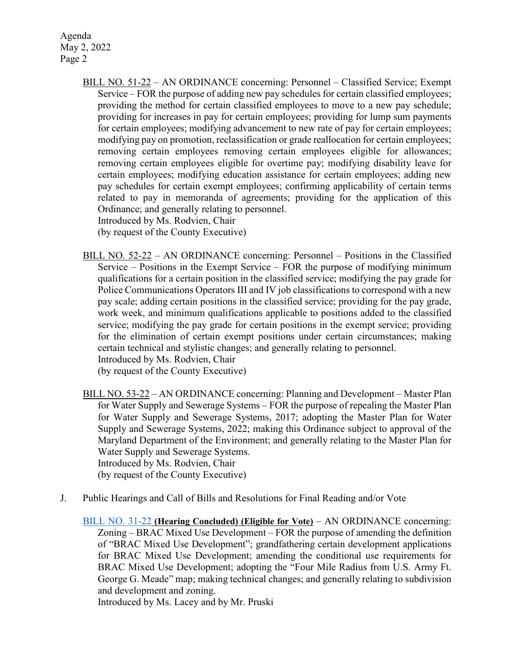Agenda May 2, 2022 Page 2

> BILL NO. 51-22 – AN ORDINANCE concerning: Personnel – Classified Service; Exempt Service – FOR the purpose of adding new pay schedules for certain classified employees; providing the method for certain classified employees to move to a new pay schedule; providing for increases in pay for certain employees; providing for lump sum payments for certain employees; modifying advancement to new rate of pay for certain employees; modifying pay on promotion, reclassification or grade reallocation for certain employees; removing certain employees removing certain employees eligible for allowances; removing certain employees eligible for overtime pay; modifying disability leave for certain employees; modifying education assistance for certain employees; adding new pay schedules for certain exempt employees; confirming applicability of certain terms related to pay in memoranda of agreements; providing for the application of this Ordinance; and generally relating to personnel.

Introduced by Ms. Rodvien, Chair

(by request of the County Executive)

BILL NO. 52-22 – AN ORDINANCE concerning: Personnel – Positions in the Classified Service – Positions in the Exempt Service – FOR the purpose of modifying minimum qualifications for a certain position in the classified service; modifying the pay grade for Police Communications Operators III and IV job classifications to correspond with a new pay scale; adding certain positions in the classified service; providing for the pay grade, work week, and minimum qualifications applicable to positions added to the classified service; modifying the pay grade for certain positions in the exempt service; providing for the elimination of certain exempt positions under certain circumstances; making certain technical and stylistic changes; and generally relating to personnel.

Introduced by Ms. Rodvien, Chair

(by request of the County Executive)

- BILL NO. 53-22 AN ORDINANCE concerning: Planning and Development Master Plan for Water Supply and Sewerage Systems – FOR the purpose of repealing the Master Plan for Water Supply and Sewerage Systems, 2017; adopting the Master Plan for Water Supply and Sewerage Systems, 2022; making this Ordinance subject to approval of the Maryland Department of the Environment; and generally relating to the Master Plan for Water Supply and Sewerage Systems. Introduced by Ms. Rodvien, Chair (by request of the County Executive)
- J. Public Hearings and Call of Bills and Resolutions for Final Reading and/or Vote
	- [BILL NO. 31-22](https://www.aacounty.org/departments/county-council/legislation/bills-and-resolutions/31-22) **(Hearing Concluded) (Eligible for Vote)** AN ORDINANCE concerning: Zoning – BRAC Mixed Use Development – FOR the purpose of amending the definition of "BRAC Mixed Use Development"; grandfathering certain development applications for BRAC Mixed Use Development; amending the conditional use requirements for BRAC Mixed Use Development; adopting the "Four Mile Radius from U.S. Army Ft. George G. Meade" map; making technical changes; and generally relating to subdivision and development and zoning.

Introduced by Ms. Lacey and by Mr. Pruski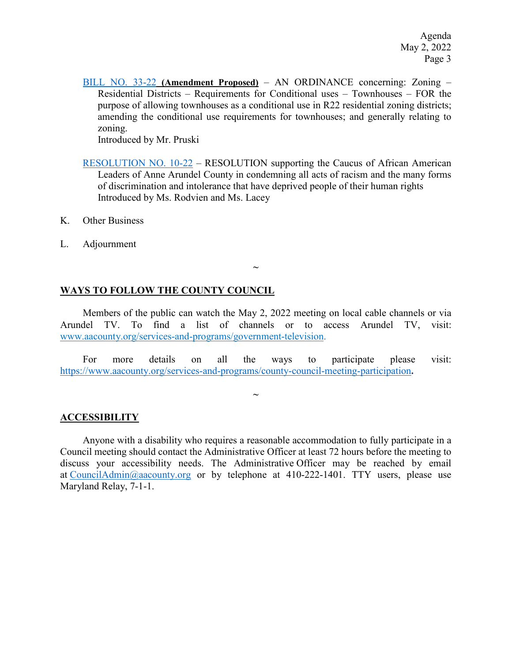[BILL NO. 33-22](https://www.aacounty.org/departments/county-council/legislation/bills-and-resolutions/33-22) **(Amendment Proposed)** – AN ORDINANCE concerning: Zoning – Residential Districts – Requirements for Conditional uses – Townhouses – FOR the purpose of allowing townhouses as a conditional use in R22 residential zoning districts; amending the conditional use requirements for townhouses; and generally relating to zoning.

Introduced by Mr. Pruski

- [RESOLUTION NO. 10-22](https://www.aacounty.org/departments/county-council/legislation/bills-and-resolutions/res-10-22) RESOLUTION supporting the Caucus of African American Leaders of Anne Arundel County in condemning all acts of racism and the many forms of discrimination and intolerance that have deprived people of their human rights Introduced by Ms. Rodvien and Ms. Lacey
- K. Other Business
- L. Adjournment

# **WAYS TO FOLLOW THE COUNTY COUNCIL**

Members of the public can watch the May 2, 2022 meeting on local cable channels or via Arundel TV. To find a list of channels or to access Arundel TV, visit: [www.aacounty.org/services-and-programs/government-television.](http://www.aacounty.org/services-and-programs/government-television)

**~**

For more details on all the ways to participate please visit: <https://www.aacounty.org/services-and-programs/county-council-meeting-participation>**.**

**~**

## **ACCESSIBILITY**

Anyone with a disability who requires a reasonable accommodation to fully participate in a Council meeting should contact the Administrative Officer at least 72 hours before the meeting to discuss your accessibility needs. The Administrative Officer may be reached by email at [CouncilAdmin@aacounty.org](mailto:CouncilAdmin@aacounty.org) or by telephone at 410-222-1401. TTY users, please use Maryland Relay, 7-1-1.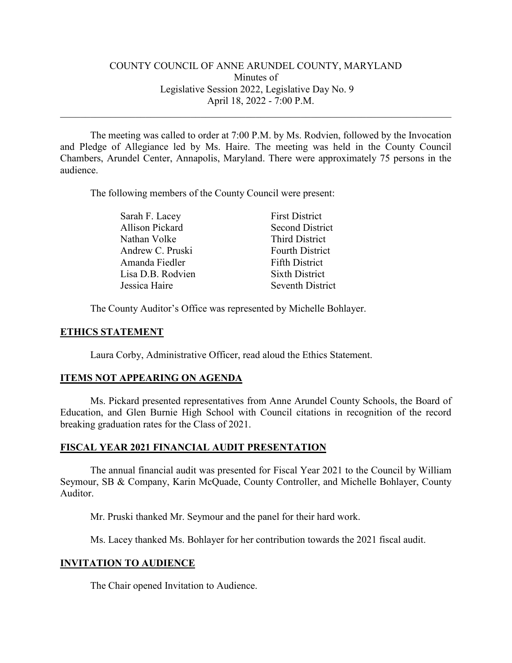# COUNTY COUNCIL OF ANNE ARUNDEL COUNTY, MARYLAND Minutes of Legislative Session 2022, Legislative Day No. 9 April 18, 2022 - 7:00 P.M.

\_\_\_\_\_\_\_\_\_\_\_\_\_\_\_\_\_\_\_\_\_\_\_\_\_\_\_\_\_\_\_\_\_\_\_\_\_\_\_\_\_\_\_\_\_\_\_\_\_\_\_\_\_\_\_\_\_\_\_\_\_\_\_\_\_\_\_\_\_\_\_\_\_\_\_\_\_\_

The meeting was called to order at 7:00 P.M. by Ms. Rodvien, followed by the Invocation and Pledge of Allegiance led by Ms. Haire. The meeting was held in the County Council Chambers, Arundel Center, Annapolis, Maryland. There were approximately 75 persons in the audience.

The following members of the County Council were present:

| Sarah F. Lacey    | <b>First District</b>  |
|-------------------|------------------------|
| Allison Pickard   | <b>Second District</b> |
| Nathan Volke      | <b>Third District</b>  |
| Andrew C. Pruski  | <b>Fourth District</b> |
| Amanda Fiedler    | <b>Fifth District</b>  |
| Lisa D.B. Rodvien | <b>Sixth District</b>  |
| Jessica Haire     | Seventh District       |

The County Auditor's Office was represented by Michelle Bohlayer.

## **ETHICS STATEMENT**

Laura Corby, Administrative Officer, read aloud the Ethics Statement.

## **ITEMS NOT APPEARING ON AGENDA**

Ms. Pickard presented representatives from Anne Arundel County Schools, the Board of Education, and Glen Burnie High School with Council citations in recognition of the record breaking graduation rates for the Class of 2021.

## **FISCAL YEAR 2021 FINANCIAL AUDIT PRESENTATION**

The annual financial audit was presented for Fiscal Year 2021 to the Council by William Seymour, SB & Company, Karin McQuade, County Controller, and Michelle Bohlayer, County Auditor.

Mr. Pruski thanked Mr. Seymour and the panel for their hard work.

Ms. Lacey thanked Ms. Bohlayer for her contribution towards the 2021 fiscal audit.

# **INVITATION TO AUDIENCE**

The Chair opened Invitation to Audience.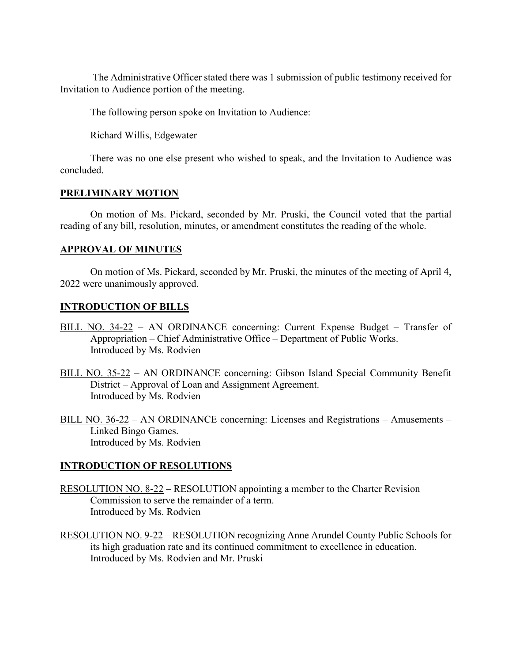The Administrative Officer stated there was 1 submission of public testimony received for Invitation to Audience portion of the meeting.

The following person spoke on Invitation to Audience:

Richard Willis, Edgewater

There was no one else present who wished to speak, and the Invitation to Audience was concluded.

# **PRELIMINARY MOTION**

On motion of Ms. Pickard, seconded by Mr. Pruski, the Council voted that the partial reading of any bill, resolution, minutes, or amendment constitutes the reading of the whole.

# **APPROVAL OF MINUTES**

On motion of Ms. Pickard, seconded by Mr. Pruski, the minutes of the meeting of April 4, 2022 were unanimously approved.

# **INTRODUCTION OF BILLS**

- BILL NO. 34-22 AN ORDINANCE concerning: Current Expense Budget Transfer of Appropriation – Chief Administrative Office – Department of Public Works. Introduced by Ms. Rodvien
- BILL NO. 35-22 AN ORDINANCE concerning: Gibson Island Special Community Benefit District – Approval of Loan and Assignment Agreement. Introduced by Ms. Rodvien
- BILL NO. 36-22 AN ORDINANCE concerning: Licenses and Registrations Amusements Linked Bingo Games. Introduced by Ms. Rodvien

# **INTRODUCTION OF RESOLUTIONS**

- RESOLUTION NO. 8-22 RESOLUTION appointing a member to the Charter Revision Commission to serve the remainder of a term. Introduced by Ms. Rodvien
- RESOLUTION NO. 9-22 RESOLUTION recognizing Anne Arundel County Public Schools for its high graduation rate and its continued commitment to excellence in education. Introduced by Ms. Rodvien and Mr. Pruski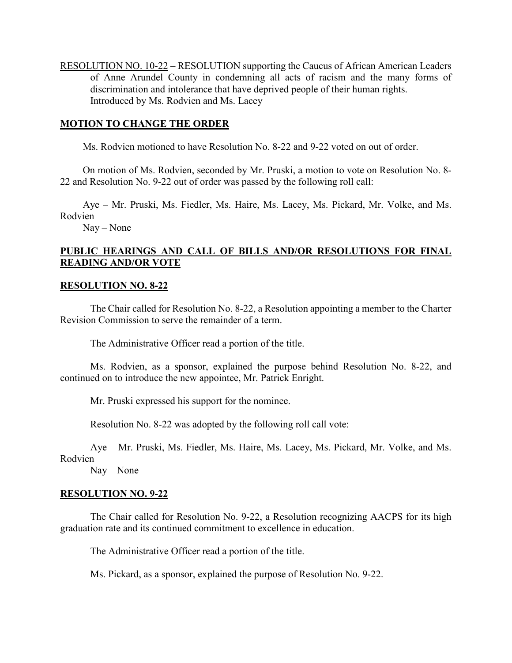RESOLUTION NO. 10-22 – RESOLUTION supporting the Caucus of African American Leaders of Anne Arundel County in condemning all acts of racism and the many forms of discrimination and intolerance that have deprived people of their human rights. Introduced by Ms. Rodvien and Ms. Lacey

# **MOTION TO CHANGE THE ORDER**

Ms. Rodvien motioned to have Resolution No. 8-22 and 9-22 voted on out of order.

On motion of Ms. Rodvien, seconded by Mr. Pruski, a motion to vote on Resolution No. 8- 22 and Resolution No. 9-22 out of order was passed by the following roll call:

Aye – Mr. Pruski, Ms. Fiedler, Ms. Haire, Ms. Lacey, Ms. Pickard, Mr. Volke, and Ms. Rodvien

Nay – None

# **PUBLIC HEARINGS AND CALL OF BILLS AND/OR RESOLUTIONS FOR FINAL READING AND/OR VOTE**

## **RESOLUTION NO. 8-22**

The Chair called for Resolution No. 8-22, a Resolution appointing a member to the Charter Revision Commission to serve the remainder of a term.

The Administrative Officer read a portion of the title.

Ms. Rodvien, as a sponsor, explained the purpose behind Resolution No. 8-22, and continued on to introduce the new appointee, Mr. Patrick Enright.

Mr. Pruski expressed his support for the nominee.

Resolution No. 8-22 was adopted by the following roll call vote:

Aye – Mr. Pruski, Ms. Fiedler, Ms. Haire, Ms. Lacey, Ms. Pickard, Mr. Volke, and Ms. Rodvien

Nay – None

## **RESOLUTION NO. 9-22**

The Chair called for Resolution No. 9-22, a Resolution recognizing AACPS for its high graduation rate and its continued commitment to excellence in education.

The Administrative Officer read a portion of the title.

Ms. Pickard, as a sponsor, explained the purpose of Resolution No. 9-22.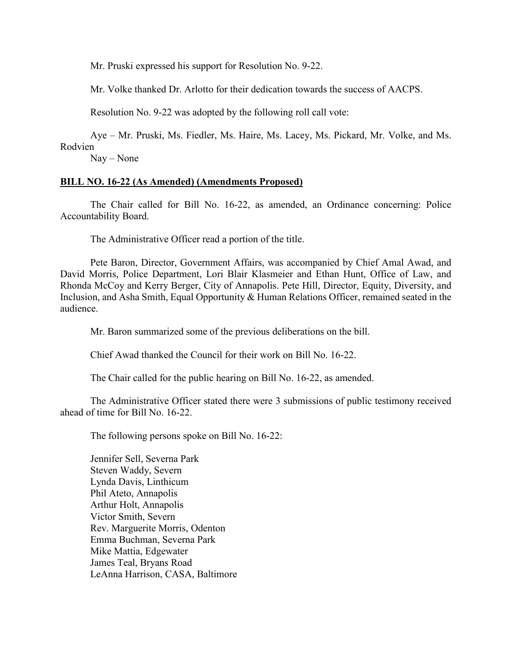Mr. Pruski expressed his support for Resolution No. 9-22.

Mr. Volke thanked Dr. Arlotto for their dedication towards the success of AACPS.

Resolution No. 9-22 was adopted by the following roll call vote:

Aye – Mr. Pruski, Ms. Fiedler, Ms. Haire, Ms. Lacey, Ms. Pickard, Mr. Volke, and Ms. Rodvien

Nay – None

# **BILL NO. 16-22 (As Amended) (Amendments Proposed)**

The Chair called for Bill No. 16-22, as amended, an Ordinance concerning: Police Accountability Board.

The Administrative Officer read a portion of the title.

Pete Baron, Director, Government Affairs, was accompanied by Chief Amal Awad, and David Morris, Police Department, Lori Blair Klasmeier and Ethan Hunt, Office of Law, and Rhonda McCoy and Kerry Berger, City of Annapolis. Pete Hill, Director, Equity, Diversity, and Inclusion, and Asha Smith, Equal Opportunity & Human Relations Officer, remained seated in the audience.

Mr. Baron summarized some of the previous deliberations on the bill.

Chief Awad thanked the Council for their work on Bill No. 16-22.

The Chair called for the public hearing on Bill No. 16-22, as amended.

The Administrative Officer stated there were 3 submissions of public testimony received ahead of time for Bill No. 16-22.

The following persons spoke on Bill No. 16-22:

Jennifer Sell, Severna Park Steven Waddy, Severn Lynda Davis, Linthicum Phil Ateto, Annapolis Arthur Holt, Annapolis Victor Smith, Severn Rev. Marguerite Morris, Odenton Emma Buchman, Severna Park Mike Mattia, Edgewater James Teal, Bryans Road LeAnna Harrison, CASA, Baltimore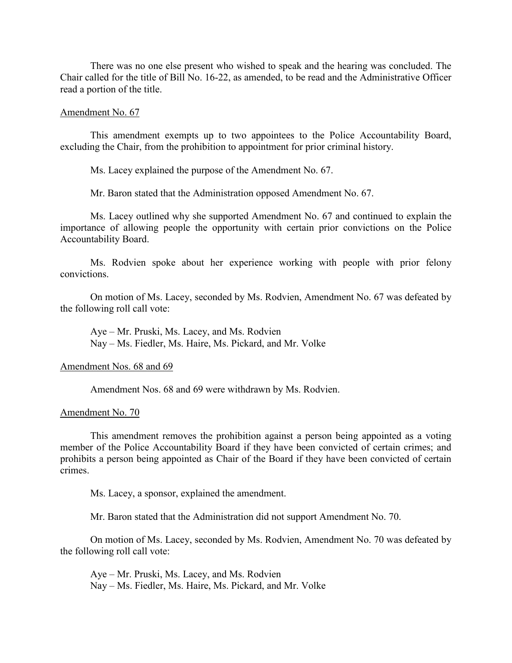There was no one else present who wished to speak and the hearing was concluded. The Chair called for the title of Bill No. 16-22, as amended, to be read and the Administrative Officer read a portion of the title.

### Amendment No. 67

This amendment exempts up to two appointees to the Police Accountability Board, excluding the Chair, from the prohibition to appointment for prior criminal history.

Ms. Lacey explained the purpose of the Amendment No. 67.

Mr. Baron stated that the Administration opposed Amendment No. 67.

Ms. Lacey outlined why she supported Amendment No. 67 and continued to explain the importance of allowing people the opportunity with certain prior convictions on the Police Accountability Board.

Ms. Rodvien spoke about her experience working with people with prior felony convictions.

On motion of Ms. Lacey, seconded by Ms. Rodvien, Amendment No. 67 was defeated by the following roll call vote:

Aye – Mr. Pruski, Ms. Lacey, and Ms. Rodvien Nay – Ms. Fiedler, Ms. Haire, Ms. Pickard, and Mr. Volke

#### Amendment Nos. 68 and 69

Amendment Nos. 68 and 69 were withdrawn by Ms. Rodvien.

### Amendment No. 70

This amendment removes the prohibition against a person being appointed as a voting member of the Police Accountability Board if they have been convicted of certain crimes; and prohibits a person being appointed as Chair of the Board if they have been convicted of certain crimes.

Ms. Lacey, a sponsor, explained the amendment.

Mr. Baron stated that the Administration did not support Amendment No. 70.

On motion of Ms. Lacey, seconded by Ms. Rodvien, Amendment No. 70 was defeated by the following roll call vote:

Aye – Mr. Pruski, Ms. Lacey, and Ms. Rodvien Nay – Ms. Fiedler, Ms. Haire, Ms. Pickard, and Mr. Volke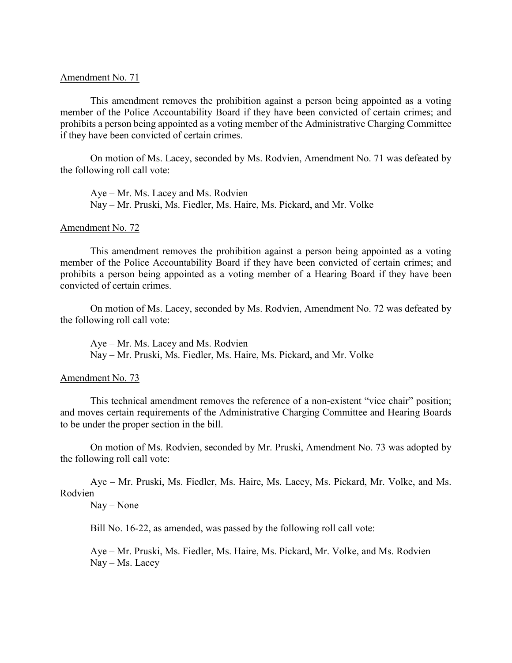### Amendment No. 71

This amendment removes the prohibition against a person being appointed as a voting member of the Police Accountability Board if they have been convicted of certain crimes; and prohibits a person being appointed as a voting member of the Administrative Charging Committee if they have been convicted of certain crimes.

On motion of Ms. Lacey, seconded by Ms. Rodvien, Amendment No. 71 was defeated by the following roll call vote:

Aye – Mr. Ms. Lacey and Ms. Rodvien Nay – Mr. Pruski, Ms. Fiedler, Ms. Haire, Ms. Pickard, and Mr. Volke

## Amendment No. 72

This amendment removes the prohibition against a person being appointed as a voting member of the Police Accountability Board if they have been convicted of certain crimes; and prohibits a person being appointed as a voting member of a Hearing Board if they have been convicted of certain crimes.

On motion of Ms. Lacey, seconded by Ms. Rodvien, Amendment No. 72 was defeated by the following roll call vote:

Aye – Mr. Ms. Lacey and Ms. Rodvien Nay – Mr. Pruski, Ms. Fiedler, Ms. Haire, Ms. Pickard, and Mr. Volke

## Amendment No. 73

This technical amendment removes the reference of a non-existent "vice chair" position; and moves certain requirements of the Administrative Charging Committee and Hearing Boards to be under the proper section in the bill.

On motion of Ms. Rodvien, seconded by Mr. Pruski, Amendment No. 73 was adopted by the following roll call vote:

Aye – Mr. Pruski, Ms. Fiedler, Ms. Haire, Ms. Lacey, Ms. Pickard, Mr. Volke, and Ms. Rodvien

### Nay – None

Bill No. 16-22, as amended, was passed by the following roll call vote:

Aye – Mr. Pruski, Ms. Fiedler, Ms. Haire, Ms. Pickard, Mr. Volke, and Ms. Rodvien Nay – Ms. Lacey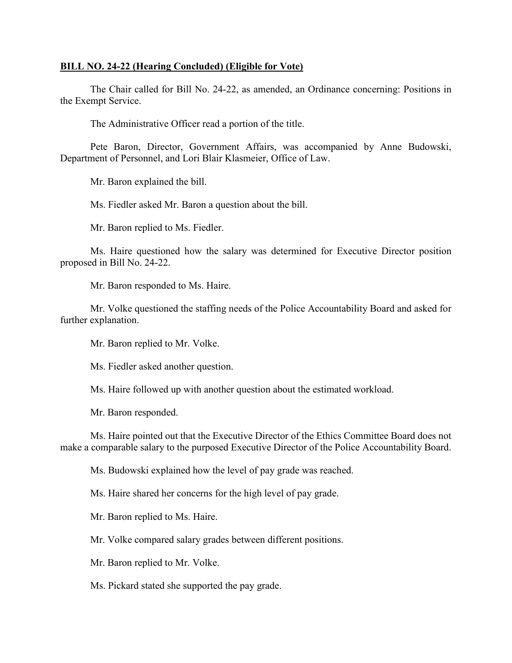### **BILL NO. 24-22 (Hearing Concluded) (Eligible for Vote)**

The Chair called for Bill No. 24-22, as amended, an Ordinance concerning: Positions in the Exempt Service.

The Administrative Officer read a portion of the title.

Pete Baron, Director, Government Affairs, was accompanied by Anne Budowski, Department of Personnel, and Lori Blair Klasmeier, Office of Law.

Mr. Baron explained the bill.

Ms. Fiedler asked Mr. Baron a question about the bill.

Mr. Baron replied to Ms. Fiedler.

Ms. Haire questioned how the salary was determined for Executive Director position proposed in Bill No. 24-22.

Mr. Baron responded to Ms. Haire.

Mr. Volke questioned the staffing needs of the Police Accountability Board and asked for further explanation.

Mr. Baron replied to Mr. Volke.

Ms. Fiedler asked another question.

Ms. Haire followed up with another question about the estimated workload.

Mr. Baron responded.

Ms. Haire pointed out that the Executive Director of the Ethics Committee Board does not make a comparable salary to the purposed Executive Director of the Police Accountability Board.

Ms. Budowski explained how the level of pay grade was reached.

Ms. Haire shared her concerns for the high level of pay grade.

Mr. Baron replied to Ms. Haire.

Mr. Volke compared salary grades between different positions.

Mr. Baron replied to Mr. Volke.

Ms. Pickard stated she supported the pay grade.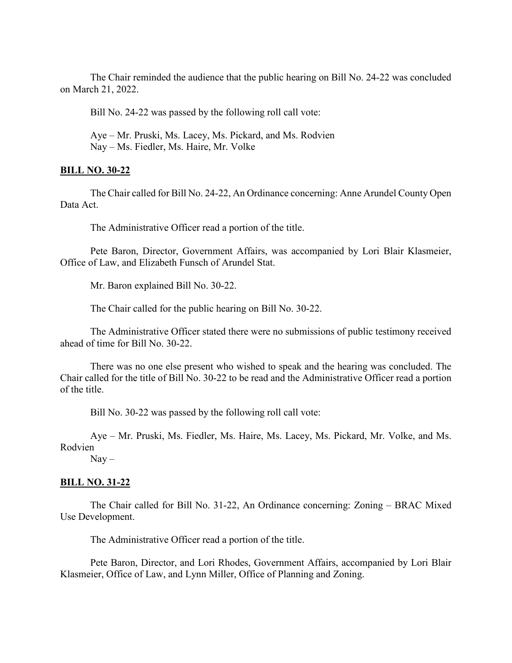The Chair reminded the audience that the public hearing on Bill No. 24-22 was concluded on March 21, 2022.

Bill No. 24-22 was passed by the following roll call vote:

Aye – Mr. Pruski, Ms. Lacey, Ms. Pickard, and Ms. Rodvien Nay – Ms. Fiedler, Ms. Haire, Mr. Volke

## **BILL NO. 30-22**

The Chair called for Bill No. 24-22, An Ordinance concerning: Anne Arundel County Open Data Act.

The Administrative Officer read a portion of the title.

Pete Baron, Director, Government Affairs, was accompanied by Lori Blair Klasmeier, Office of Law, and Elizabeth Funsch of Arundel Stat.

Mr. Baron explained Bill No. 30-22.

The Chair called for the public hearing on Bill No. 30-22.

The Administrative Officer stated there were no submissions of public testimony received ahead of time for Bill No. 30-22.

There was no one else present who wished to speak and the hearing was concluded. The Chair called for the title of Bill No. 30-22 to be read and the Administrative Officer read a portion of the title.

Bill No. 30-22 was passed by the following roll call vote:

Aye – Mr. Pruski, Ms. Fiedler, Ms. Haire, Ms. Lacey, Ms. Pickard, Mr. Volke, and Ms. Rodvien

 $Nay -$ 

## **BILL NO. 31-22**

The Chair called for Bill No. 31-22, An Ordinance concerning: Zoning – BRAC Mixed Use Development.

The Administrative Officer read a portion of the title.

Pete Baron, Director, and Lori Rhodes, Government Affairs, accompanied by Lori Blair Klasmeier, Office of Law, and Lynn Miller, Office of Planning and Zoning.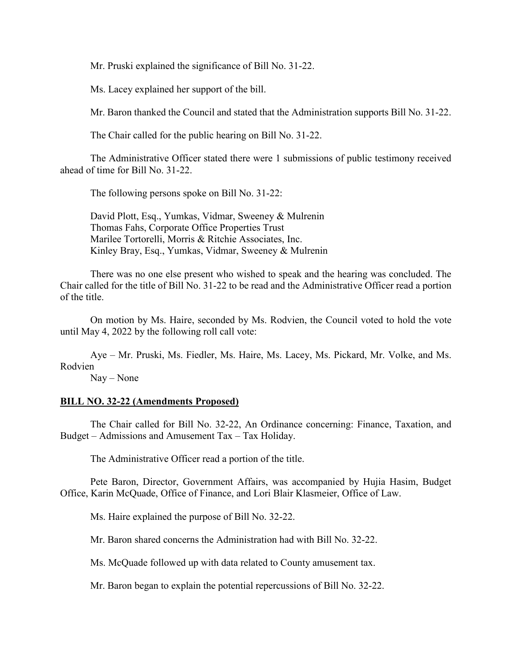Mr. Pruski explained the significance of Bill No. 31-22.

Ms. Lacey explained her support of the bill.

Mr. Baron thanked the Council and stated that the Administration supports Bill No. 31-22.

The Chair called for the public hearing on Bill No. 31-22.

The Administrative Officer stated there were 1 submissions of public testimony received ahead of time for Bill No. 31-22.

The following persons spoke on Bill No. 31-22:

David Plott, Esq., Yumkas, Vidmar, Sweeney & Mulrenin Thomas Fahs, Corporate Office Properties Trust Marilee Tortorelli, Morris & Ritchie Associates, Inc. Kinley Bray, Esq., Yumkas, Vidmar, Sweeney & Mulrenin

There was no one else present who wished to speak and the hearing was concluded. The Chair called for the title of Bill No. 31-22 to be read and the Administrative Officer read a portion of the title.

On motion by Ms. Haire, seconded by Ms. Rodvien, the Council voted to hold the vote until May 4, 2022 by the following roll call vote:

Aye – Mr. Pruski, Ms. Fiedler, Ms. Haire, Ms. Lacey, Ms. Pickard, Mr. Volke, and Ms. Rodvien

Nay – None

## **BILL NO. 32-22 (Amendments Proposed)**

The Chair called for Bill No. 32-22, An Ordinance concerning: Finance, Taxation, and Budget – Admissions and Amusement Tax – Tax Holiday.

The Administrative Officer read a portion of the title.

Pete Baron, Director, Government Affairs, was accompanied by Hujia Hasim, Budget Office, Karin McQuade, Office of Finance, and Lori Blair Klasmeier, Office of Law.

Ms. Haire explained the purpose of Bill No. 32-22.

Mr. Baron shared concerns the Administration had with Bill No. 32-22.

Ms. McQuade followed up with data related to County amusement tax.

Mr. Baron began to explain the potential repercussions of Bill No. 32-22.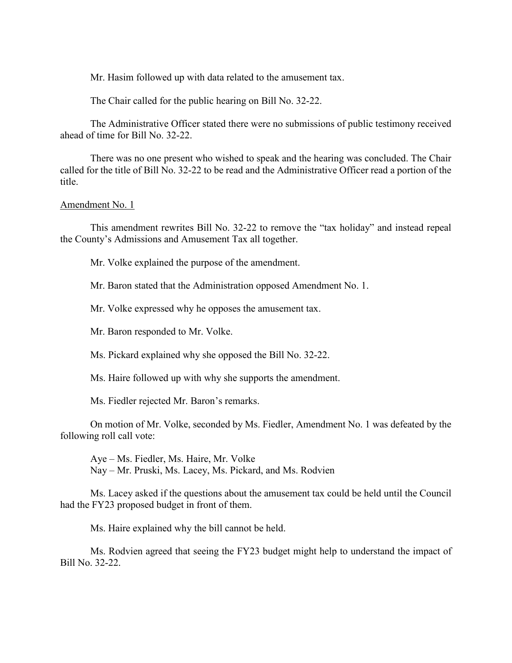Mr. Hasim followed up with data related to the amusement tax.

The Chair called for the public hearing on Bill No. 32-22.

The Administrative Officer stated there were no submissions of public testimony received ahead of time for Bill No. 32-22.

There was no one present who wished to speak and the hearing was concluded. The Chair called for the title of Bill No. 32-22 to be read and the Administrative Officer read a portion of the title.

### Amendment No. 1

This amendment rewrites Bill No. 32-22 to remove the "tax holiday" and instead repeal the County's Admissions and Amusement Tax all together.

Mr. Volke explained the purpose of the amendment.

Mr. Baron stated that the Administration opposed Amendment No. 1.

Mr. Volke expressed why he opposes the amusement tax.

Mr. Baron responded to Mr. Volke.

Ms. Pickard explained why she opposed the Bill No. 32-22.

Ms. Haire followed up with why she supports the amendment.

Ms. Fiedler rejected Mr. Baron's remarks.

On motion of Mr. Volke, seconded by Ms. Fiedler, Amendment No. 1 was defeated by the following roll call vote:

Aye – Ms. Fiedler, Ms. Haire, Mr. Volke Nay – Mr. Pruski, Ms. Lacey, Ms. Pickard, and Ms. Rodvien

Ms. Lacey asked if the questions about the amusement tax could be held until the Council had the FY23 proposed budget in front of them.

Ms. Haire explained why the bill cannot be held.

Ms. Rodvien agreed that seeing the FY23 budget might help to understand the impact of Bill No. 32-22.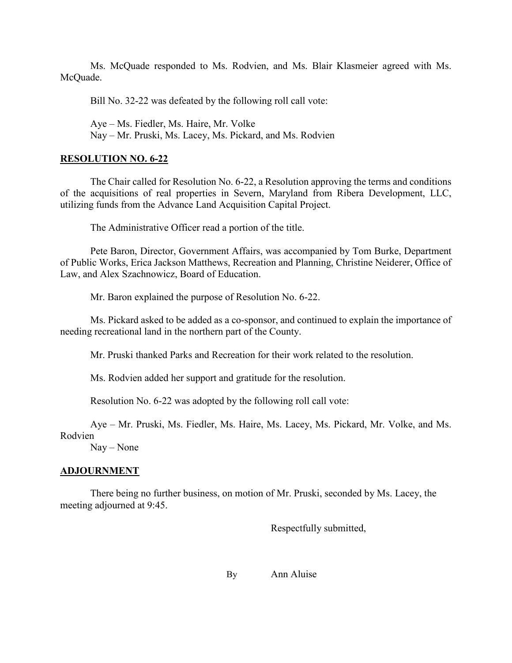Ms. McQuade responded to Ms. Rodvien, and Ms. Blair Klasmeier agreed with Ms. McQuade.

Bill No. 32-22 was defeated by the following roll call vote:

Aye – Ms. Fiedler, Ms. Haire, Mr. Volke

Nay – Mr. Pruski, Ms. Lacey, Ms. Pickard, and Ms. Rodvien

# **RESOLUTION NO. 6-22**

The Chair called for Resolution No. 6-22, a Resolution approving the terms and conditions of the acquisitions of real properties in Severn, Maryland from Ribera Development, LLC, utilizing funds from the Advance Land Acquisition Capital Project.

The Administrative Officer read a portion of the title.

Pete Baron, Director, Government Affairs, was accompanied by Tom Burke, Department of Public Works, Erica Jackson Matthews, Recreation and Planning, Christine Neiderer, Office of Law, and Alex Szachnowicz, Board of Education.

Mr. Baron explained the purpose of Resolution No. 6-22.

Ms. Pickard asked to be added as a co-sponsor, and continued to explain the importance of needing recreational land in the northern part of the County.

Mr. Pruski thanked Parks and Recreation for their work related to the resolution.

Ms. Rodvien added her support and gratitude for the resolution.

Resolution No. 6-22 was adopted by the following roll call vote:

Aye – Mr. Pruski, Ms. Fiedler, Ms. Haire, Ms. Lacey, Ms. Pickard, Mr. Volke, and Ms. Rodvien

Nay – None

# **ADJOURNMENT**

There being no further business, on motion of Mr. Pruski, seconded by Ms. Lacey, the meeting adjourned at 9:45.

Respectfully submitted,

By Ann Aluise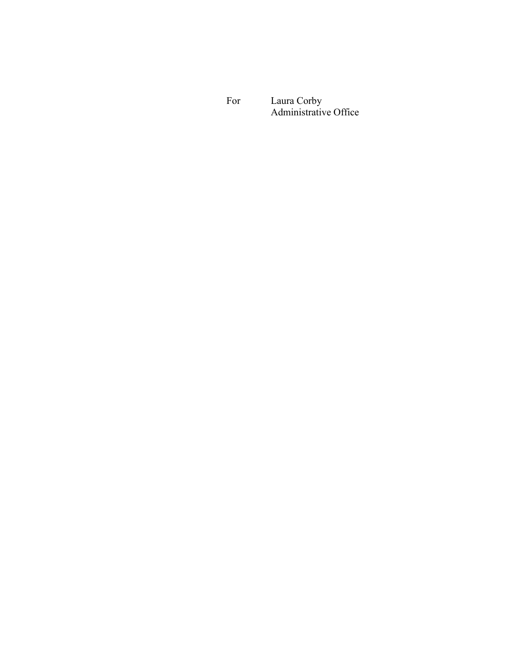For Laura Corby Administrative Office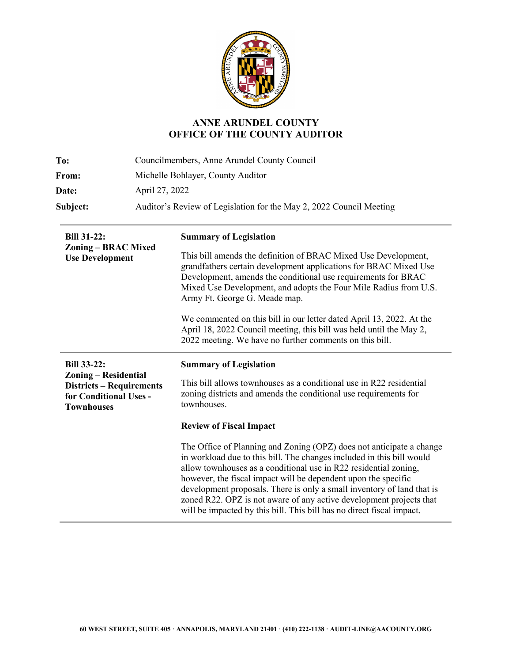

# **ANNE ARUNDEL COUNTY OFFICE OF THE COUNTY AUDITOR**

| To:          | Councilmembers, Anne Arundel County Council                         |  |
|--------------|---------------------------------------------------------------------|--|
| From:        | Michelle Bohlayer, County Auditor                                   |  |
| <b>Date:</b> | April 27, 2022                                                      |  |
| Subject:     | Auditor's Review of Legislation for the May 2, 2022 Council Meeting |  |

| <b>Bill 31-22:</b><br>Zoning – BRAC Mixed<br><b>Use Development</b>                                                                 | <b>Summary of Legislation</b><br>This bill amends the definition of BRAC Mixed Use Development,<br>grandfathers certain development applications for BRAC Mixed Use<br>Development, amends the conditional use requirements for BRAC                                                                                                                                                                                                                                                                          |
|-------------------------------------------------------------------------------------------------------------------------------------|---------------------------------------------------------------------------------------------------------------------------------------------------------------------------------------------------------------------------------------------------------------------------------------------------------------------------------------------------------------------------------------------------------------------------------------------------------------------------------------------------------------|
|                                                                                                                                     | Mixed Use Development, and adopts the Four Mile Radius from U.S.<br>Army Ft. George G. Meade map.                                                                                                                                                                                                                                                                                                                                                                                                             |
|                                                                                                                                     | We commented on this bill in our letter dated April 13, 2022. At the<br>April 18, 2022 Council meeting, this bill was held until the May 2,<br>2022 meeting. We have no further comments on this bill.                                                                                                                                                                                                                                                                                                        |
| <b>Bill 33-22:</b><br><b>Zoning – Residential</b><br><b>Districts - Requirements</b><br>for Conditional Uses -<br><b>Townhouses</b> | <b>Summary of Legislation</b>                                                                                                                                                                                                                                                                                                                                                                                                                                                                                 |
|                                                                                                                                     | This bill allows townhouses as a conditional use in R22 residential<br>zoning districts and amends the conditional use requirements for<br>townhouses.                                                                                                                                                                                                                                                                                                                                                        |
|                                                                                                                                     | <b>Review of Fiscal Impact</b>                                                                                                                                                                                                                                                                                                                                                                                                                                                                                |
|                                                                                                                                     | The Office of Planning and Zoning (OPZ) does not anticipate a change<br>in workload due to this bill. The changes included in this bill would<br>allow townhouses as a conditional use in R22 residential zoning,<br>however, the fiscal impact will be dependent upon the specific<br>development proposals. There is only a small inventory of land that is<br>zoned R22. OPZ is not aware of any active development projects that<br>will be impacted by this bill. This bill has no direct fiscal impact. |